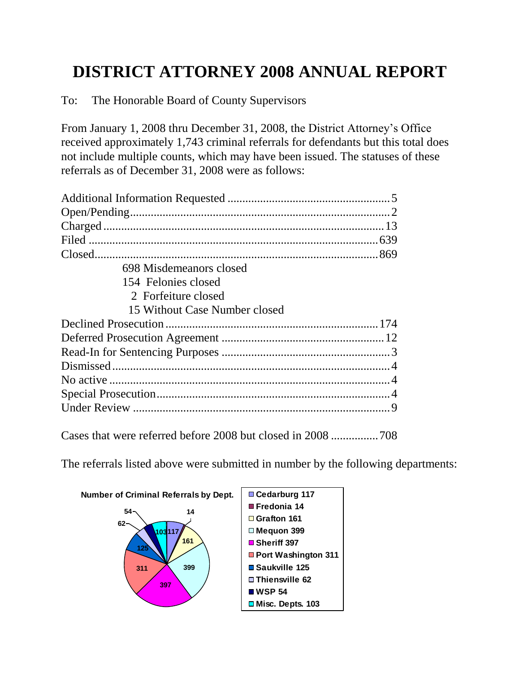## **DISTRICT ATTORNEY 2008 ANNUAL REPORT**

To: The Honorable Board of County Supervisors

From January 1, 2008 thru December 31, 2008, the District Attorney's Office received approximately 1,743 criminal referrals for defendants but this total does not include multiple counts, which may have been issued. The statuses of these referrals as of December 31, 2008 were as follows:

| 698 Misdemeanors closed       |  |
|-------------------------------|--|
| 154 Felonies closed           |  |
| 2 Forfeiture closed           |  |
| 15 Without Case Number closed |  |
|                               |  |
|                               |  |
|                               |  |
|                               |  |
|                               |  |
|                               |  |
|                               |  |
|                               |  |

Cases that were referred before 2008 but closed in 2008 ................708

The referrals listed above were submitted in number by the following departments:

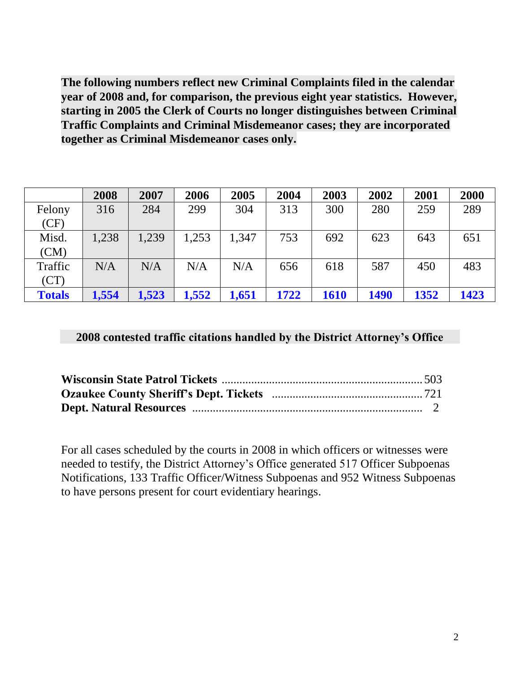**The following numbers reflect new Criminal Complaints filed in the calendar year of 2008 and, for comparison, the previous eight year statistics. However, starting in 2005 the Clerk of Courts no longer distinguishes between Criminal Traffic Complaints and Criminal Misdemeanor cases; they are incorporated together as Criminal Misdemeanor cases only.** 

|               | 2008  | 2007  | 2006  | 2005  | 2004 | 2003 | 2002        | 2001 | 2000 |
|---------------|-------|-------|-------|-------|------|------|-------------|------|------|
| Felony        | 316   | 284   | 299   | 304   | 313  | 300  | 280         | 259  | 289  |
| (CF)          |       |       |       |       |      |      |             |      |      |
| Misd.         | 1,238 | 1,239 | 1,253 | 1,347 | 753  | 692  | 623         | 643  | 651  |
| (CM)          |       |       |       |       |      |      |             |      |      |
| Traffic       | N/A   | N/A   | N/A   | N/A   | 656  | 618  | 587         | 450  | 483  |
| (CT)          |       |       |       |       |      |      |             |      |      |
| <b>Totals</b> | 1,554 | 1,523 | 1,552 | 1,651 | 1722 | 1610 | <b>1490</b> | 1352 | 1423 |

## **2008 contested traffic citations handled by the District Attorney's Office**

For all cases scheduled by the courts in 2008 in which officers or witnesses were needed to testify, the District Attorney's Office generated 517 Officer Subpoenas Notifications, 133 Traffic Officer/Witness Subpoenas and 952 Witness Subpoenas to have persons present for court evidentiary hearings.